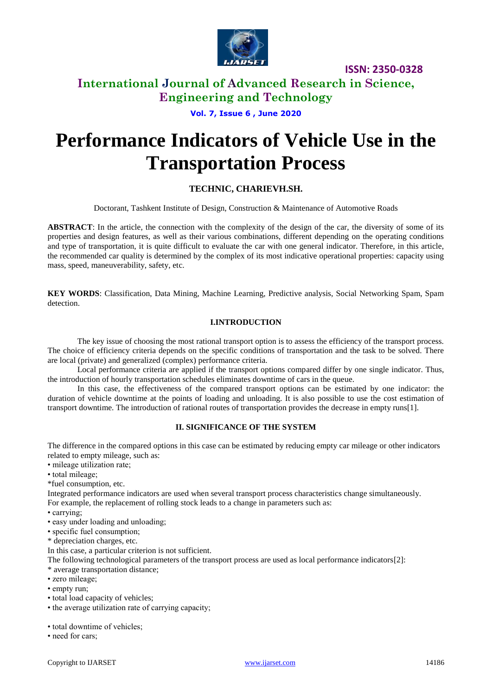

**ISSN: 2350-0328**

# **International Journal of Advanced Research in Science, Engineering and Technology**

**Vol. 7, Issue 6 , June 2020**

# **Performance Indicators of Vehicle Use in the Transportation Process**

# **TECHNIC, CHARIEVH.SH.**

Doctorant, Tashkent Institute of Design, Construction & Maintenance of Automotive Roads

**ABSTRACT**: In the article, the connection with the complexity of the design of the car, the diversity of some of its properties and design features, as well as their various combinations, different depending on the operating conditions and type of transportation, it is quite difficult to evaluate the car with one general indicator. Therefore, in this article, the recommended car quality is determined by the complex of its most indicative operational properties: capacity using mass, speed, maneuverability, safety, etc.

**KEY WORDS**: Classification, Data Mining, Machine Learning, Predictive analysis, Social Networking Spam, Spam detection.

### **I.INTRODUCTION**

The key issue of choosing the most rational transport option is to assess the efficiency of the transport process. The choice of efficiency criteria depends on the specific conditions of transportation and the task to be solved. There are local (private) and generalized (complex) performance criteria.

Local performance criteria are applied if the transport options compared differ by one single indicator. Thus, the introduction of hourly transportation schedules eliminates downtime of cars in the queue.

In this case, the effectiveness of the compared transport options can be estimated by one indicator: the duration of vehicle downtime at the points of loading and unloading. It is also possible to use the cost estimation of transport downtime. The introduction of rational routes of transportation provides the decrease in empty runs[1].

### **II. SIGNIFICANCE OF THE SYSTEM**

The difference in the compared options in this case can be estimated by reducing empty car mileage or other indicators related to empty mileage, such as:

- mileage utilization rate;
- total mileage;

\*fuel consumption, etc.

Integrated performance indicators are used when several transport process characteristics change simultaneously. For example, the replacement of rolling stock leads to a change in parameters such as:

- carrying;
- easy under loading and unloading;
- specific fuel consumption;
- \* depreciation charges, etc.

In this case, a particular criterion is not sufficient.

The following technological parameters of the transport process are used as local performance indicators[2]:

- \* average transportation distance;
- zero mileage;
- empty run;
- total load capacity of vehicles;
- the average utilization rate of carrying capacity;

• total downtime of vehicles;

• need for cars;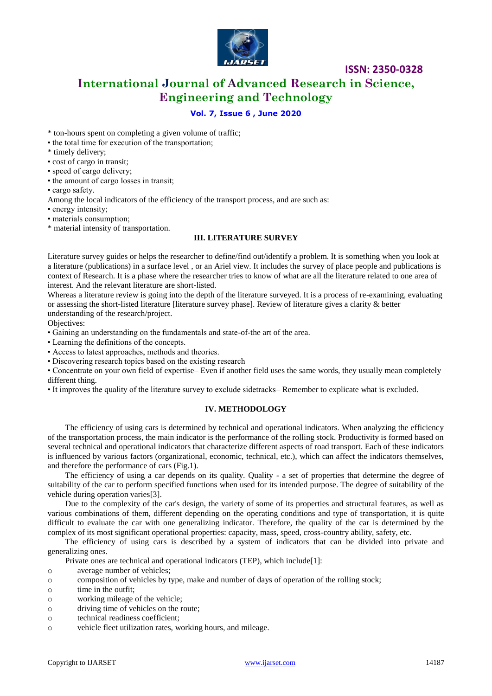

# **International Journal of Advanced Research in Science, Engineering and Technology**

**ISSN: 2350-0328**

### **Vol. 7, Issue 6 , June 2020**

\* ton-hours spent on completing a given volume of traffic;

- the total time for execution of the transportation;
- \* timely delivery;
- cost of cargo in transit;
- speed of cargo delivery;
- the amount of cargo losses in transit;

• cargo safety.

Among the local indicators of the efficiency of the transport process, and are such as:

• energy intensity;

• materials consumption;

\* material intensity of transportation.

#### **III. LITERATURE SURVEY**

Literature survey guides or helps the researcher to define/find out/identify a problem. It is something when you look at a literature (publications) in a surface level , or an Ariel view. It includes the survey of place people and publications is context of Research. It is a phase where the researcher tries to know of what are all the literature related to one area of interest. And the relevant literature are short-listed.

Whereas a literature review is going into the depth of the literature surveyed. It is a process of re-examining, evaluating or assessing the short-listed literature [literature survey phase]. Review of literature gives a clarity & better understanding of the research/project.

Objectives:

• Gaining an understanding on the fundamentals and state-of-the art of the area.

• Learning the definitions of the concepts.

• Access to latest approaches, methods and theories.

• Discovering research topics based on the existing research

• Concentrate on your own field of expertise– Even if another field uses the same words, they usually mean completely different thing.

• It improves the quality of the literature survey to exclude sidetracks– Remember to explicate what is excluded.

#### **IV. METHODOLOGY**

The efficiency of using cars is determined by technical and operational indicators. When analyzing the efficiency of the transportation process, the main indicator is the performance of the rolling stock. Productivity is formed based on several technical and operational indicators that characterize different aspects of road transport. Each of these indicators is influenced by various factors (organizational, economic, technical, etc.), which can affect the indicators themselves, and therefore the performance of cars (Fig.1).

The efficiency of using a car depends on its quality. Quality - a set of properties that determine the degree of suitability of the car to perform specified functions when used for its intended purpose. The degree of suitability of the vehicle during operation varies[3].

Due to the complexity of the car's design, the variety of some of its properties and structural features, as well as various combinations of them, different depending on the operating conditions and type of transportation, it is quite difficult to evaluate the car with one generalizing indicator. Therefore, the quality of the car is determined by the complex of its most significant operational properties: capacity, mass, speed, cross-country ability, safety, etc.

The efficiency of using cars is described by a system of indicators that can be divided into private and generalizing ones.

Private ones are technical and operational indicators (TEP), which include[1]:

- o average number of vehicles;
- o composition of vehicles by type, make and number of days of operation of the rolling stock;
- o time in the outfit;
- o working mileage of the vehicle;
- o driving time of vehicles on the route;
- o technical readiness coefficient;
- o vehicle fleet utilization rates, working hours, and mileage.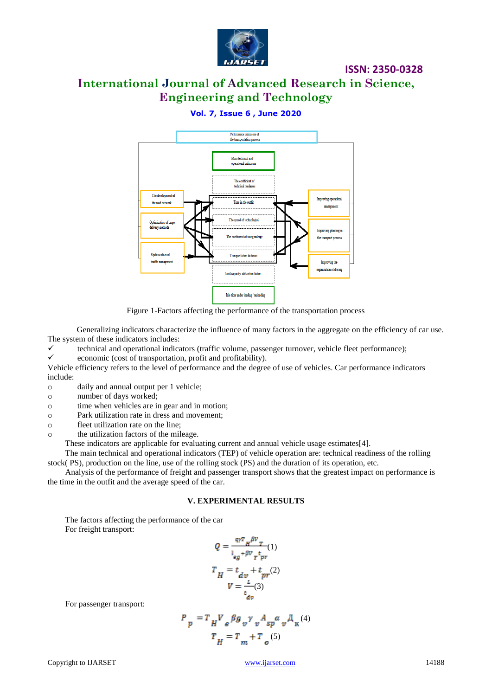

# **ISSN: 2350-0328**

# **International Journal of Advanced Research in Science, Engineering and Technology**

## **Vol. 7, Issue 6 , June 2020**



Figure 1-Factors affecting the performance of the transportation process

Generalizing indicators characterize the influence of many factors in the aggregate on the efficiency of car use. The system of these indicators includes:

technical and operational indicators (traffic volume, passenger turnover, vehicle fleet performance);<br>  $\checkmark$  economic (cost of transportation profit and profitability)

economic (cost of transportation, profit and profitability).

Vehicle efficiency refers to the level of performance and the degree of use of vehicles. Car performance indicators include:

o daily and annual output per 1 vehicle;

o number of days worked;

o time when vehicles are in gear and in motion;

o Park utilization rate in dress and movement;

o fleet utilization rate on the line;

o the utilization factors of the mileage.

These indicators are applicable for evaluating current and annual vehicle usage estimates[4].

The main technical and operational indicators (TEP) of vehicle operation are: technical readiness of the rolling stock( PS), production on the line, use of the rolling stock (PS) and the duration of its operation, etc.

Analysis of the performance of freight and passenger transport shows that the greatest impact on performance is the time in the outfit and the average speed of the car.

#### **V. EXPERIMENTAL RESULTS**

The factors affecting the performance of the car For freight transport:

$$
Q = \frac{q r_H \beta v_T}{l_{eg} + \beta v_T t_{pr}}(1)
$$

$$
T_H = t_{dv} + t_{pr}(2)
$$

$$
V = \frac{L}{t_{dv}}(3)
$$

For passenger transport:

$$
P_p = T_H V_e \beta g_v \gamma_v A_{sp} \alpha_v \lambda_{\kappa}^{(4)}
$$
  

$$
T_H = T_m + T_o(5)
$$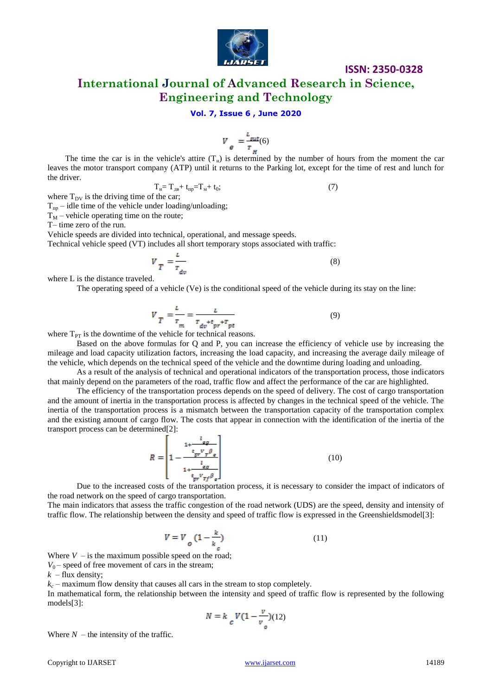

### **ISSN: 2350-0328**

**International Journal of Advanced Research in Science, Engineering and Technology**

### **Vol. 7, Issue 6 , June 2020**

$$
V_{\theta} = \frac{L_{\text{sat}}}{T_{\text{at}}} (6)
$$

The time the car is in the vehicle's attire  $(T_H)$  is determined by the number of hours from the moment the car leaves the motor transport company (ATP) until it returns to the Parking lot, except for the time of rest and lunch for the driver.

$$
T_{\mathrm{H}} = T_{\mathrm{H}} + t_{\mathrm{mp}} = T_{\mathrm{M}} + t_0; \tag{7}
$$

where  $T_{\text{DV}}$  is the driving time of the car;

 $T_{\text{m}}$  – idle time of the vehicle under loading/unloading;

 $T_M$  – vehicle operating time on the route;

T– time zero of the run.

Vehicle speeds are divided into technical, operational, and message speeds.

Technical vehicle speed (VT) includes all short temporary stops associated with traffic:

$$
V_T = \frac{L}{r_{dv}}\tag{8}
$$

where L is the distance traveled.

The operating speed of a vehicle (Ve) is the conditional speed of the vehicle during its stay on the line:

$$
V_{T} = \frac{L}{r_{m}} = \frac{L}{r_{dv} + t_{pr} + r_{pt}}
$$
(9)

where  $T_{PT}$  is the downtime of the vehicle for technical reasons.

Based on the above formulas for Q and P, you can increase the efficiency of vehicle use by increasing the mileage and load capacity utilization factors, increasing the load capacity, and increasing the average daily mileage of the vehicle, which depends on the technical speed of the vehicle and the downtime during loading and unloading.

As a result of the analysis of technical and operational indicators of the transportation process, those indicators that mainly depend on the parameters of the road, traffic flow and affect the performance of the car are highlighted.

The efficiency of the transportation process depends on the speed of delivery. The cost of cargo transportation and the amount of inertia in the transportation process is affected by changes in the technical speed of the vehicle. The inertia of the transportation process is a mismatch between the transportation capacity of the transportation complex and the existing amount of cargo flow. The costs that appear in connection with the identification of the inertia of the transport process can be determined[2]:

$$
R = \left[1 - \frac{\frac{1}{t_{pr}v_{\mathcal{T}}\beta_{\mathcal{L}}}}{1 + \frac{l_{\mathcal{L}_{\mathcal{B}}}}{t_{pr}v_{\mathcal{T}}\beta_{\mathcal{L}}}}\right]
$$
(10)

Due to the increased costs of the transportation process, it is necessary to consider the impact of indicators of the road network on the speed of cargo transportation.

The main indicators that assess the traffic congestion of the road network (UDS) are the speed, density and intensity of traffic flow. The relationship between the density and speed of traffic flow is expressed in the Greenshieldsmodel[3]:

$$
V = V_o \left(1 - \frac{k}{k_e}\right) \tag{11}
$$

Where  $V -$  is the maximum possible speed on the road;

 $V_0$  – speed of free movement of cars in the stream;

 $k$  – flux density;

 $k_c$  – maximum flow density that causes all cars in the stream to stop completely.

In mathematical form, the relationship between the intensity and speed of traffic flow is represented by the following models[3]:

$$
N = k_c V(1 - \frac{v}{v_o})(12)
$$

Where  $N$  – the intensity of the traffic.